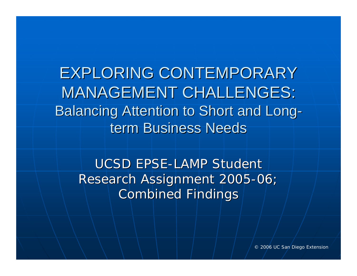EXPLORING CONTEMPORARY **MANAGEMENT CHALLENGES:** Balancing Attention to Short and Long term Business Needs

UCSD EPSE-LAMP Student Research Assignment 2005-06; **Combined Findings** 

© 2006 UC San Diego Extension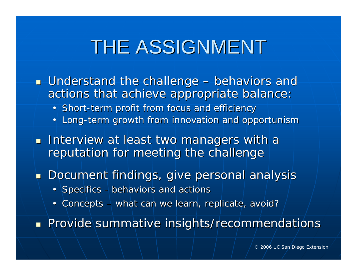## THE ASSIGNMENT

 $\blacksquare$  Understand the challenge – behaviors and actions that achieve appropriate balance:

- Short-term profit from focus and efficiency
- •• Long-term growth from innovation and opportunism
- $\blacksquare$  Interview at least two managers with a reputation for meeting the challenge
- **Document findings, give personal analysis** 
	- Specifics - behaviors and actions
	- Concepts  $\dashv$  what can we learn, replicate, avoid?

Provide summative insights/recommendations

© 2006 UC San Diego Extension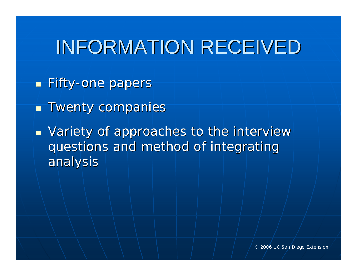## INFORMATION RECEIVED

- **Example 5 Fifty-one papers**
- $\mathbb{R}^2$ **Twenty companies**
- $\overline{\phantom{a}}$ **DETE:** Variety of approaches to the interview questions and method of integrating analysis analysis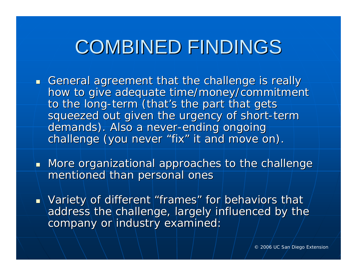## **COMBINED FINDINGS**

- $\blacksquare$  General agreement that the challenge is really  $\blacksquare$ how to give adequate time/money/commitment to the long-term (that's the part that gets squeezed out given the urgency of short-term demands). Also a never-ending ongoing challenge (you never "fix " it and move on).
- $\blacksquare$  More organizational approaches to the challenge mentioned than personal ones
- $\textcolor{orange}\blacksquare\setminus \textsf{Variable}$ rames  $\textcolor{orange}\blacksquare\setminus \textsf{V}$ ariety $\textcolor{orange}\lozenge$  of different  $\textcolor{orange}\blacksquare\cap \textsf{frames}$  $\rlap{.}''$  for behaviors that address the challenge, largely influenced by the company or industry examined: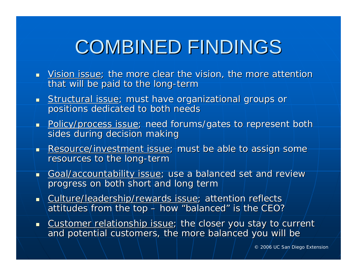# **COMBINED FINDINGS**

- $\blacksquare$  <u>Vision issue;</u> the more clear the vision, the more attention that will be paid to the long-term
- **S**tructural issue; must have organizational groups or  $^{\circ}$ positions dedicated to both needs
- **Policy/process issue**; need forums/gates to represent both sides during decision making
- П **Resource/investment issue; must be able to assign some**  $\blacksquare$ resources to the long-term
- Goal/accountability issue; use a balanced set and review  $\blacksquare$ progress on both short and long term
- $\textcolor{red}{\bullet}$  \ <u>Culture/leadership/rewards issue</u>; attention reflects ; attitudes from the  $\sf top$  $+$  how "balanced" is the CEO?
- **Customer relationship issue; the closer you stay to current**  $\blacksquare$ and potential customers, the more balanced you will be

© 2006 UC San Diego Extension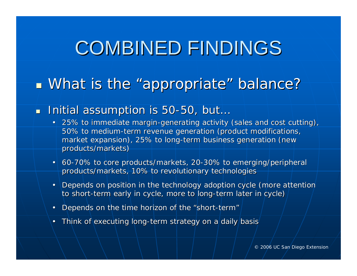# **COMBINED FINDINGS**

### **Nhat is the "appropriate" balance? Datalance** appropriate" balance?

### $\blacksquare$  Initial assumption is 50-50, but…

- 25% to immediate margin-generating activity (sales and cost cutting), 50% to medium-term revenue generation (product modifications, market expansion), 25% to long-term business generation (new products/markets)
- 60-70% to core products/markets, 20-30% to emerging/peripheral products/markets, 10% to revolutionary technologies
- •Depends on position in the technology adoption cycle (more attention to short-term early in cycle, more to long-term later in cycle)
- •Depends on the time horizon of the "short-term"
- •Think of executing long-term strategy on a daily basis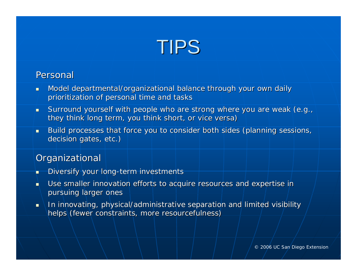

#### *Personal Personal*

- $\blacksquare$ Model departmental/organizational balance through your own daily prioritization of personal time and tasks
- п Surround yourself with people who are strong where you are weak (e.g., they think long term, you think short, or vice versa)
- $\blacksquare$ Build processes that force you to consider both sides (planning sessions, decision gates, etc.)

### *Organizational Organizational*

- п Diversify your long-term investments
- n Use smaller innovation efforts to acquire resources and expertise in pursuing larger ones
- $\blacksquare$ In innovating, physical/administrative separation and limited visibility helps (fewer constraints, more resourcefulness)